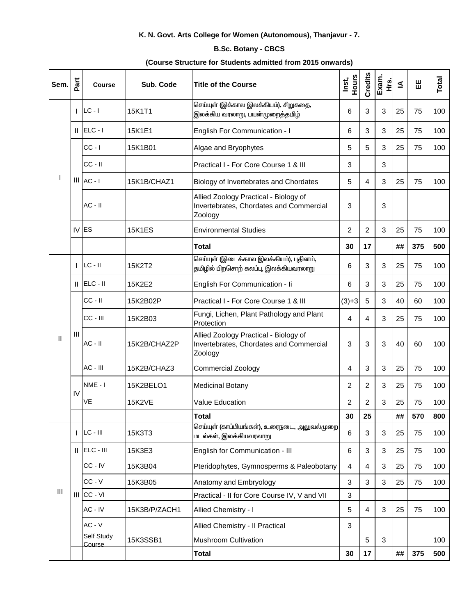## K. N. Govt. Arts College for Women (Autonomous), Thanjavur - 7.

## **B.Sc. Botany - CBCS**

## (Course Structure for Students admitted from 2015 onwards)

| Sem.         | Part           | <b>Course</b>        | Sub. Code     | Title of the Course                                                                         | Hours<br>Inst, | Credits        | Exam.<br>غ<br>± | ≤  | 出   | Total |
|--------------|----------------|----------------------|---------------|---------------------------------------------------------------------------------------------|----------------|----------------|-----------------|----|-----|-------|
|              |                | $LC - I$             | 15K1T1        | செய்யுள் (இக்கால இலக்கியம்), சிறுகதை,<br>இலக்கிய வரலாறு, பயன்முறைத்தமிழ்                    | 6              | 3              | 3               | 25 | 75  | 100   |
|              | Ш              | $ELC - I$            | 15K1E1        | English For Communication - I                                                               | 6              | 3              | 3               | 25 | 75  | 100   |
|              |                | $CC - I$             | 15K1B01       | Algae and Bryophytes                                                                        | 5              | 5              | 3               | 25 | 75  | 100   |
|              |                | $CC - II$            |               | Practical I - For Core Course 1 & III                                                       | 3              |                | 3               |    |     |       |
|              |                | $III$ $AC - I$       | 15K1B/CHAZ1   | Biology of Invertebrates and Chordates                                                      | 5              | 4              | 3               | 25 | 75  | 100   |
|              |                | $AC - II$            |               | Allied Zoology Practical - Biology of<br>Invertebrates, Chordates and Commercial<br>Zoology | 3              |                | 3               |    |     |       |
|              | IV             | <b>ES</b>            | <b>15K1ES</b> | <b>Environmental Studies</b>                                                                | $\overline{2}$ | $\overline{2}$ | 3               | 25 | 75  | 100   |
|              |                |                      |               | <b>Total</b>                                                                                | 30             | 17             |                 | ## | 375 | 500   |
| $\mathsf{I}$ |                | $LC - II$            | 15K2T2        | செய்யுள் (இடைக்கால இலக்கியம்), புதினம்,<br>தமிழில் பிறசொற் கலப்பு, இலக்கியவரலாறு            | 6              | 3              | 3               | 25 | 75  | 100   |
|              | Ш              | $ELC - II$           | 15K2E2        | English For Communication - Ii                                                              | 6              | 3              | 3               | 25 | 75  | 100   |
|              |                | $CC - II$            | 15K2B02P      | Practical I - For Core Course 1 & III                                                       | $(3)+3$        | $\overline{5}$ | 3               | 40 | 60  | 100   |
|              |                | CC - III             | 15K2B03       | Fungi, Lichen, Plant Pathology and Plant<br>Protection                                      | $\overline{4}$ | 4              | 3               | 25 | 75  | 100   |
|              | $\mathbf{III}$ | $AC - II$            | 15K2B/CHAZ2P  | Allied Zoology Practical - Biology of<br>Invertebrates, Chordates and Commercial<br>Zoology | 3              | 3              | 3               | 40 | 60  | 100   |
|              |                | AC - III             | 15K2B/CHAZ3   | <b>Commercial Zoology</b>                                                                   | $\overline{4}$ | 3              | 3               | 25 | 75  | 100   |
|              | IV             | NME-I                | 15K2BELO1     | <b>Medicinal Botany</b>                                                                     | $\overline{2}$ | 2              | 3               | 25 | 75  | 100   |
|              |                | VE                   | <b>15K2VE</b> | <b>Value Education</b>                                                                      | 2              | 2              | 3               | 25 | 75  | 100   |
|              |                |                      |               | <b>Total</b>                                                                                | 30             | 25             |                 | ## | 570 | 800   |
| Ш            |                | $LC - III$           | 15K3T3        | செய்யுள் (காப்பியங்கள்), உரைநடை, அலுவல்முறை<br>மடல்கள், இலக்கியவரலாறு                       | 6              | 3              | 3               | 25 | 75  | 100   |
|              | Ш              | ELC - III            | 15K3E3        | English for Communication - III                                                             | 6              | 3              | 3               | 25 | 75  | 100   |
|              | $\mathbf{III}$ | CC - IV              | 15K3B04       | Pteridophytes, Gymnosperms & Paleobotany                                                    | 4              | 4              | 3               | 25 | 75  | 100   |
|              |                | $CC - V$             | 15K3B05       | Anatomy and Embryology                                                                      | $\mathbf{3}$   | 3              | 3               | 25 | 75  | 100   |
|              |                | CC - VI              |               | Practical - II for Core Course IV, V and VII                                                | $\mathbf{3}$   |                |                 |    |     |       |
|              |                | AC - IV              | 15K3B/P/ZACH1 | Allied Chemistry - I                                                                        | $\overline{5}$ | 4              | 3               | 25 | 75  | 100   |
|              |                | $AC - V$             |               | Allied Chemistry - Il Practical                                                             | 3              |                |                 |    |     |       |
|              |                | Self Study<br>Course | 15K3SSB1      | Mushroom Cultivation                                                                        |                | 5              | 3               |    |     | 100   |
|              |                |                      |               | <b>Total</b>                                                                                | 30             | 17             |                 | ## | 375 | 500   |